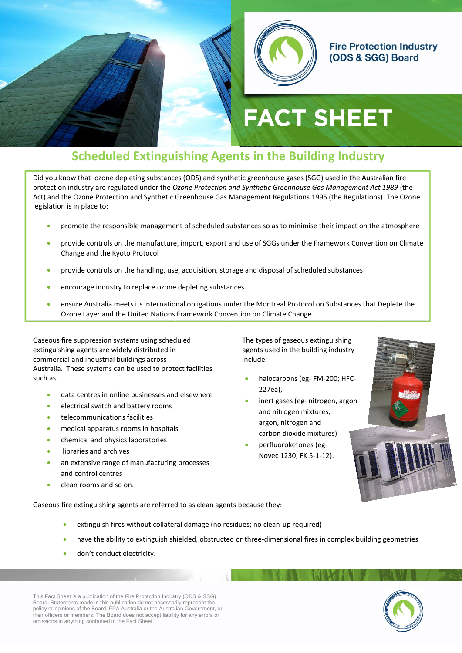

#### **Fire Protection Industry** (ODS & SGG) Board

# **FACT SHEET**

# **Scheduled Extinguishing Agents in the Building Industry**

Did you know that ozone depleting substances (ODS) and synthetic greenhouse gases (SGG) used in the Australian fire protection industry are regulated under the *Ozone Protection and Synthetic Greenhouse Gas Management Act 1989* (the Act) and the Ozone Protection and Synthetic Greenhouse Gas Management Regulations 1995 (the Regulations). The Ozone legislation is in place to:

- promote the responsible management of scheduled substances so as to minimise their impact on the atmosphere
- provide controls on the manufacture, import, export and use of SGGs under the Framework Convention on Climate Change and the Kyoto Protocol
- provide controls on the handling, use, acquisition, storage and disposal of scheduled substances
- encourage industry to replace ozone depleting substances
- ensure Australia meets its international obligations under the Montreal Protocol on Substances that Deplete the Ozone Layer and the United Nations Framework Convention on Climate Change.

Gaseous fire suppression systems using scheduled extinguishing agents are widely distributed in commercial and industrial buildings across Australia. These systems can be used to protect facilities such as:

- data centres in online businesses and elsewhere
- **electrical switch and battery rooms**
- telecommunications facilities
- medical apparatus rooms in hospitals
- **•** chemical and physics laboratories
- libraries and archives
- an extensive range of manufacturing processes and control centres
- clean rooms and so on.

The types of gaseous extinguishing agents used in the building industry include:

- halocarbons (eg- FM-200; HFC-227ea),
- inert gases (eg- nitrogen, argon and nitrogen mixtures, argon, nitrogen and carbon dioxide mixtures)
- perfluoroketones (eg-Novec 1230; FK 5-1-12).



Gaseous fire extinguishing agents are referred to as clean agents because they:

- extinguish fires without collateral damage (no residues; no clean-up required)
- have the ability to extinguish shielded, obstructed or three-dimensional fires in complex building geometries
- don't conduct electricity.

This Fact Sheet is a publication of the Fire Protection Industry (ODS & SSG) Board. Statements made in this publication do not necessarily represent the policy or opinions of the Board, FPA Australia or the Australian Government, or their officers or members. The Board does not accept liability for any errors or omissions in anything contained in the Fact Sheet.